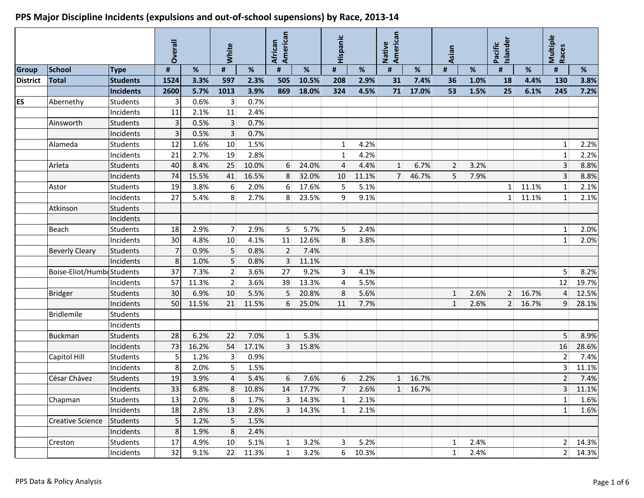|                 |                           |                                     | Overall        |              | <b>White</b>            |              | American<br>African |       | Hispanic       |       | Native<br>American |         | Asian          |      | <b>Islander</b><br>Pacific |       | Multiple<br>Races       |         |
|-----------------|---------------------------|-------------------------------------|----------------|--------------|-------------------------|--------------|---------------------|-------|----------------|-------|--------------------|---------|----------------|------|----------------------------|-------|-------------------------|---------|
|                 |                           |                                     |                |              |                         |              |                     |       |                |       |                    |         |                |      |                            |       |                         |         |
| <b>Group</b>    | <b>School</b>             | <b>Type</b>                         | #              | %            | #                       | %            | #                   | %     | #              | %     | #                  | %       | #              | $\%$ | #                          | %     | $\pmb{\sharp}$          | %       |
| <b>District</b> | <b>Total</b>              | <b>Students</b>                     | 1524           | 3.3%         | 597                     | 2.3%         | 505                 | 10.5% | 208            | 2.9%  | 31                 | 7.4%    | 36             | 1.0% | 18                         | 4.4%  | 130                     | 3.8%    |
| ES              |                           | <b>Incidents</b><br><b>Students</b> | 2600<br>3      | 5.7%<br>0.6% | 1013                    | 3.9%<br>0.7% | 869                 | 18.0% | 324            | 4.5%  | 71                 | 17.0%   | 53             | 1.5% | 25                         | 6.1%  | 245                     | 7.2%    |
|                 | Abernethy                 | Incidents                           | 11             | 2.1%         | $\lvert 3 \rvert$<br>11 | 2.4%         |                     |       |                |       |                    |         |                |      |                            |       |                         |         |
|                 | Ainsworth                 | <b>Students</b>                     | $\overline{3}$ | 0.5%         | 3 <sup>1</sup>          | 0.7%         |                     |       |                |       |                    |         |                |      |                            |       |                         |         |
|                 |                           | Incidents                           | 3              | 0.5%         | $\overline{3}$          | 0.7%         |                     |       |                |       |                    |         |                |      |                            |       |                         |         |
|                 | Alameda                   | <b>Students</b>                     | 12             | 1.6%         | 10 <sup>1</sup>         | 1.5%         |                     |       | $1\vert$       | 4.2%  |                    |         |                |      |                            |       | $1\vert$                | 2.2%    |
|                 |                           | Incidents                           | 21             | 2.7%         | 19                      | 2.8%         |                     |       | $1\vert$       | 4.2%  |                    |         |                |      |                            |       | $\mathbf{1}$            | 2.2%    |
|                 | Arleta                    | <b>Students</b>                     | 40             | 8.4%         | 25                      | 10.0%        | 6                   | 24.0% | $\overline{4}$ | 4.4%  | 1                  | 6.7%    | 2 <sup>1</sup> | 3.2% |                            |       | 3                       | 8.8%    |
|                 |                           | Incidents                           | 74             | 15.5%        | 41                      | 16.5%        | 8                   | 32.0% | 10             | 11.1% | 7 <sup>1</sup>     | 46.7%   | 5              | 7.9% |                            |       | $\overline{3}$          | 8.8%    |
|                 | Astor                     | <b>Students</b>                     | 19             | 3.8%         | $6 \overline{6}$        | 2.0%         | $6 \overline{6}$    | 17.6% | 5              | 5.1%  |                    |         |                |      | 1 <sup>1</sup>             | 11.1% | $\mathbf{1}$            | 2.1%    |
|                 |                           | Incidents                           | 27             | 5.4%         | 8 <sup>°</sup>          | 2.7%         | 8                   | 23.5% | $\overline{9}$ | 9.1%  |                    |         |                |      | 1 <sup>1</sup>             | 11.1% | 1                       | 2.1%    |
|                 | Atkinson                  | Students                            |                |              |                         |              |                     |       |                |       |                    |         |                |      |                            |       |                         |         |
|                 |                           | Incidents                           |                |              |                         |              |                     |       |                |       |                    |         |                |      |                            |       |                         |         |
|                 | <b>Beach</b>              | <b>Students</b>                     | 18             | 2.9%         | 7 <sup>1</sup>          | 2.9%         | 5 <sup>1</sup>      | 5.7%  | 5              | 2.4%  |                    |         |                |      |                            |       | 1                       | 2.0%    |
|                 |                           | Incidents                           | 30             | 4.8%         | 10                      | 4.1%         | 11                  | 12.6% | 8              | 3.8%  |                    |         |                |      |                            |       | $1\vert$                | 2.0%    |
|                 | <b>Beverly Cleary</b>     | Students                            |                | 0.9%         | 5 <sup>1</sup>          | 0.8%         | $\overline{2}$      | 7.4%  |                |       |                    |         |                |      |                            |       |                         |         |
|                 |                           | Incidents                           | 8              | 1.0%         | 5 <sup>1</sup>          | 0.8%         | $\overline{3}$      | 11.1% |                |       |                    |         |                |      |                            |       |                         |         |
|                 | Boise-Eliot/HumbrStudents |                                     | 37             | 7.3%         | 2 <sup>1</sup>          | 3.6%         | 27                  | 9.2%  | 3 <sup>1</sup> | 4.1%  |                    |         |                |      |                            |       | 5                       | 8.2%    |
|                 |                           | Incidents                           | 57             | 11.3%        | 2 <sup>1</sup>          | 3.6%         | 39                  | 13.3% | $\overline{4}$ | 5.5%  |                    |         |                |      |                            |       | 12                      | 19.7%   |
|                 | <b>Bridger</b>            | <b>Students</b>                     | 30             | 6.9%         | 10                      | 5.5%         | 5 <sup>1</sup>      | 20.8% | 8              | 5.6%  |                    |         | $\mathbf{1}$   | 2.6% | 2 <sup>1</sup>             | 16.7% | $\overline{4}$          | 12.5%   |
|                 |                           | Incidents                           | 50             | 11.5%        | 21                      | 11.5%        | 6                   | 25.0% | 11             | 7.7%  |                    |         | $\mathbf{1}$   | 2.6% | 2 <sup>1</sup>             | 16.7% | $\overline{9}$          | 28.1%   |
|                 | <b>Bridlemile</b>         | <b>Students</b>                     |                |              |                         |              |                     |       |                |       |                    |         |                |      |                            |       |                         |         |
|                 |                           | Incidents                           |                |              |                         |              |                     |       |                |       |                    |         |                |      |                            |       |                         |         |
|                 | <b>Buckman</b>            | <b>Students</b>                     | 28             | 6.2%         | 22                      | 7.0%         | $1\overline{ }$     | 5.3%  |                |       |                    |         |                |      |                            |       | 5                       | 8.9%    |
|                 |                           | Incidents                           | 73             | 16.2%        | 54                      | 17.1%        | 3 <sup>1</sup>      | 15.8% |                |       |                    |         |                |      |                            |       | 16                      | 28.6%   |
|                 | Capitol Hill              | <b>Students</b>                     | 5              | 1.2%         | $\overline{3}$          | 0.9%         |                     |       |                |       |                    |         |                |      |                            |       | $\overline{2}$          | 7.4%    |
|                 |                           | Incidents                           | 8              | 2.0%         | 5 <sup>1</sup>          | 1.5%         |                     |       |                |       |                    |         |                |      |                            |       | $\overline{3}$          | 11.1%   |
|                 | César Chávez              | Students                            | 19             | 3.9%         | $\overline{4}$          | 5.4%         | $6 \overline{6}$    | 7.6%  | 6              | 2.2%  | 1                  | 16.7%   |                |      |                            |       | $\overline{2}$          | 7.4%    |
|                 |                           | Incidents                           | 33             | 6.8%         | 8                       | 10.8%        | 14                  | 17.7% | $7\vert$       | 2.6%  |                    | 1 16.7% |                |      |                            |       | $\overline{\mathbf{3}}$ | 11.1%   |
|                 | Chapman                   | <b>Students</b>                     | 13             | 2.0%         | 8 <sup>1</sup>          | 1.7%         | 3 <sup>1</sup>      | 14.3% | 1              | 2.1%  |                    |         |                |      |                            |       | $\mathbf{1}$            | 1.6%    |
|                 |                           | Incidents                           | 18             | 2.8%         | $13\,$                  | 2.8%         | 3 <sup>1</sup>      | 14.3% | 1              | 2.1%  |                    |         |                |      |                            |       | 1                       | 1.6%    |
|                 | <b>Creative Science</b>   | Students                            | 5              | 1.2%         | 5 <sup>1</sup>          | 1.5%         |                     |       |                |       |                    |         |                |      |                            |       |                         |         |
|                 |                           | Incidents                           | 8              | 1.9%         | 8 <sup>°</sup>          | 2.4%         |                     |       |                |       |                    |         |                |      |                            |       |                         |         |
|                 | Creston                   | <b>Students</b>                     | 17             | 4.9%         | 10 <sup>°</sup>         | 5.1%         | $\vert$ 1           | 3.2%  | 3              | 5.2%  |                    |         | $\mathbf{1}$   | 2.4% |                            |       | 2 <sup>1</sup>          | 14.3%   |
|                 |                           | Incidents                           | 32             | 9.1%         | 22                      | 11.3%        | 1                   | 3.2%  | 6 <sup>1</sup> | 10.3% |                    |         | 1              | 2.4% |                            |       |                         | 2 14.3% |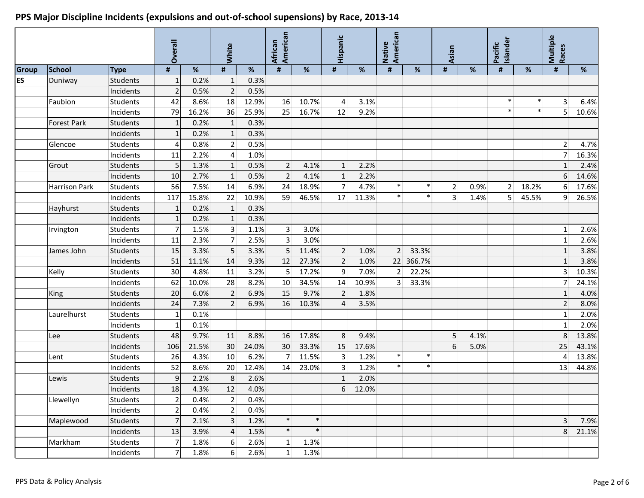#### **Overall White African American Hispanic Native American Asian Pacific Islander Multiple Races Group School Type # % # % # % # % # % # % # % # % ES** Duniway Students 1 0.2% 1 0.3% Incidents 2 0.5% 2 0.5% Faubion Students | 42 8.6% 18 12.9% 16 10.7% 4 3.1% | | | | | | | | | | | | | | Incidents 79 16.2% 36 25.9% 25 16.7% 12 9.2% \* \* 5 10.6% Forest Park Students | 1 0.2% 1 0.3% Incidents 1 0.2% 1 0.3% Glencoe Students 4 0.8% 2 0.5% 2 4.7% Incidents 11 2.2% 4 1.0% 7 16.3% Grout Students 5 1.3% 1 0.5% 2 4.1% 1 2.2% 1 2.4% Incidents 10 2.7% 1 0.5% 2 4.1% 1 2.2% 6 14.6% Harrison Park Students 56 7.5% 14 6.9% 24 18.9% 7 4.7% \* \* 2 0.9% 2 18.2% 6 17.6% Incidents 117 15.8% 22 10.9% 59 46.5% 17 11.3% \* \* 3 1.4% 5 45.5% 9 26.5% Hayhurst Students 1 0.2% 1 0.3% Incidents 1 0.2% 1 0.3% Irvington Students 7 1.5% 3 1.1% 3 3.0% 1 2.6% Incidents 11 2.3% 7 2.5% 3 3.0% 1 2.6% James John Students 15 3.3% 5 3.3% 5 11.4% 2 1.0% 2 33.3% 1 3.8% Incidents 51 11.1% 14 9.3% 12 27.3% 2 1.0% 22 366.7% 1 3.8% Kelly Students 30 4.8% 11 3.2% 5 17.2% 9 7.0% 2 22.2% 3 10.3% Incidents 62 10.0% 28 8.2% 10 34.5% 14 10.9% 3 33.3% 7 24.1% King Students 20 6.0% 2 6.9% 15 9.7% 2 1.8% 1 4.0% Incidents 24 7.3% 2 6.9% 16 10.3% 4 3.5% 2 8.0% Laurelhurst Students 1 0.1% 1 2.0% Incidents 1 0.1% 1 2.0% Lee Students 48 9.7% 11 8.8% 16 17.8% 8 9.4% 5 4.1% 8 13.8% Incidents 106 21.5% 30 24.0% 30 33.3% 15 17.6% 6 5.0% 25 43.1% Lent Students 26 4.3% 10 6.2% 7 11.5% 3 1.2% \* \* 4 13.8% Incidents 52 8.6% 20 12.4% 14 23.0% 3 1.2% \* \* 13 44.8% Lewis Students 9 2.2% 8 2.6% 1 2.0% Incidents 18 4.3% 12 4.0% 6 12.0% Llewellyn Students 2 0.4% 2 0.4% Incidents  $\begin{vmatrix} 2 & 0.4\% \\ 0.4\% & 2 \end{vmatrix}$  0.4% Maplewood Students 7 2.1% 3 1.2% \* \* 3 7.9% Incidents 13 3.9% 4 1.5% \* \* 8 21.1% and the set of  $\sim$  8 21.1% Markham Students | 7 1.8% 6 2.6% 1 1.3% Incidents | 7  $1.8\%$  6  $2.6\%$  1  $1.3\%$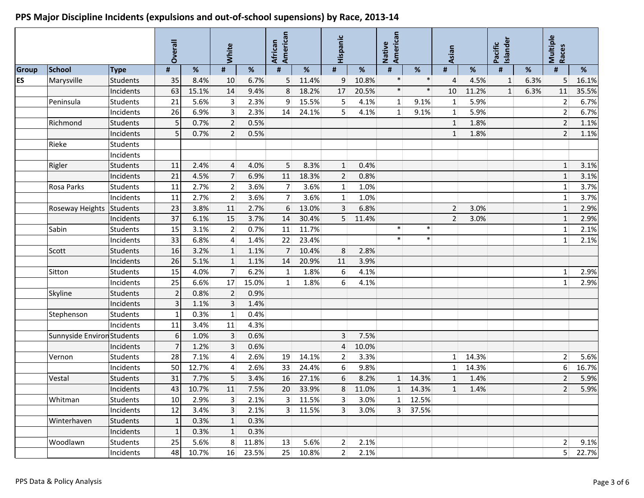#### **Overall White African American Hispanic Native American Asian Pacific Islander Multiple Races Group School Type # % # % # % # % # % # % # % # % ES** Marysville Students 35 8.4% 10 6.7% 5 11.4% 9 10.8% \* \* 4 4.5% 1 6.3% 5 16.1% Incidents 63 15.1% 14 9.4% 8 18.2% 17 20.5% \* \* 10 11.2% 1 6.3% 11 35.5% Peninsula Students 21 5.6% 3 2.3% 9 15.5% 5 4.1% 1 9.1% 1 5.9% 2 6.7% Incidents 26 6.9% 3 2.3% 14 24.1% 5 4.1% 1 9.1% 1 5.9% 2 6.7% Richmond Students | 5 0.7% 2 0.5% | | | | | | | 1.8% | | 2 1.1% Incidents  $\begin{bmatrix} 5 & 0.7\% & 2 & 0.5\% \end{bmatrix}$  1.1.2% 2 1.1.1% 2 1.1.1% Rieke Students Incidents Rigler Students 11 2.4% 4 4.0% 5 8.3% 1 0.4% 1 3.1% Incidents 21 4.5% 7 6.9% 11 18.3% 2 0.8% 1 3.1% Rosa Parks Students 11 2.7% 2 3.6% 7 3.6% 1 1.0% 1 3.7% Incidents 11 2.7% 2 3.6% 7 3.6% 1 1.0% 1 3.7% Roseway Heights Students | 23 3.8% 11 2.7% 6 13.0% 3 6.8% | 2 3.0% | 1 2.9% Incidents 37 6.1% 15 3.7% 14 30.4% 5 11.4% 2 3.0% 1 2.9% Sabin Students 15 3.1% 2 0.7% 11 11.7% \* \* 1 2.1% Incidents 33 6.8% 4 1.4% 22 23.4% \* \* 1 2.1% Scott Students 16 3.2% 1 1.1% 7 10.4% 8 2.8% Incidents 26 5.1% 1 1.1% 14 20.9% 11 3.9% Sitton Students 15 4.0% 7 6.2% 1 1.8% 6 4.1% 1 2.9% Incidents 25 6.6% 17 15.0% 1 1.8% 6 4.1% 1 2.9% Skyline Students 2 0.8% 2 0.9% Incidents 3 1.1% 3 1.4% Stephenson Students 1 0.3% 1 0.4% Incidents 11 3.4% 11 4.3% Sunnyside Environ Students  $\begin{vmatrix} 6 & 1.0\% & 3 & 0.6\% \end{vmatrix}$  0.6% 3 7.5% Incidents 7 1.2% 3 0.6% 4 10.0% Vernon Students 28 7.1% 4 2.6% 19 14.1% 2 3.3% 1 14.3% 2 5.6% Incidents 50 12.7% 4 2.6% 33 24.4% 6 9.8% 1 14.3% 6 16.7% Vestal Students 31 7.7% 5 3.4% 16 27.1% 6 8.2% 1 14.3% 1 1.4% 2 5.9% Incidents 43 10.7% 11 7.5% 20 33.9% 8 11.0% 1 14.3% 1 1.4% 2 5.9% Whitman Students 10 2.9% 3 2.1% 3 11.5% 3 3.0% 1 12.5%  $\textsf{Incidents} \quad | \quad 12 | \quad 3.4\% | \quad 3 | \quad 2.1\% | \quad 3 | \quad 11.5\% | \quad 3 | \quad 3.0\% | \quad 3 | \quad 37.5\%$ Winterhaven Students 1 0.3% 1 0.3% Incidents 1 0.3% 1 0.3% Woodlawn Students 25 5.6% 8 11.8% 13 5.6% 2 2.1% 2 9.1% Incidents | 48 10.7% 16 23.5% 25 10.8% 2 2.1% | | | | | | | | | 5 22.7%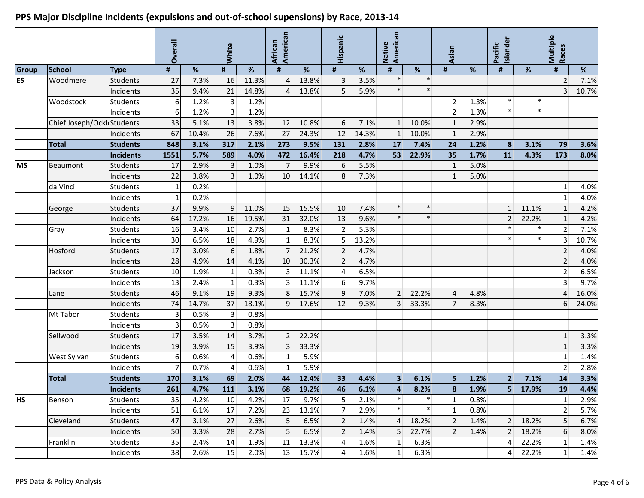|              |                            |                  | Overall        |       | White          |       | American<br>African |       | Hispanic                |       | American<br>Native      |        | Asian          |      | Islander<br>Pacific |        | Multiple<br>Races |       |
|--------------|----------------------------|------------------|----------------|-------|----------------|-------|---------------------|-------|-------------------------|-------|-------------------------|--------|----------------|------|---------------------|--------|-------------------|-------|
| <b>Group</b> | <b>School</b>              | <b>Type</b>      | #              | $\%$  | #              | $\%$  | #                   | %     | #                       | %     | #                       | $\%$   | #              | %    | #                   | %      | #                 | %     |
| <b>ES</b>    | Woodmere                   | Students         | 27             | 7.3%  | 16             | 11.3% | $\overline{4}$      | 13.8% | 3                       | 3.5%  | $\ast$                  | $\ast$ |                |      |                     |        | $\overline{2}$    | 7.1%  |
|              |                            | Incidents        | 35             | 9.4%  | 21             | 14.8% | $\overline{4}$      | 13.8% | 5                       | 5.9%  | $\ast$                  | $\ast$ |                |      |                     |        | $\overline{3}$    | 10.7% |
|              | Woodstock                  | Students         | 6              | 1.2%  | $\overline{3}$ | 1.2%  |                     |       |                         |       |                         |        | $\overline{2}$ | 1.3% | $\ast$              | $\ast$ |                   |       |
|              |                            | Incidents        | 6              | 1.2%  | 3 <sup>1</sup> | 1.2%  |                     |       |                         |       |                         |        | $\overline{2}$ | 1.3% | $\ast$              | $\ast$ |                   |       |
|              | Chief Joseph/Ockl Students |                  | 33             | 5.1%  | 13             | 3.8%  | 12                  | 10.8% | 6                       | 7.1%  | 1                       | 10.0%  | $\mathbf{1}$   | 2.9% |                     |        |                   |       |
|              |                            | Incidents        | 67             | 10.4% | 26             | 7.6%  | 27                  | 24.3% | 12                      | 14.3% | $\mathbf{1}$            | 10.0%  | $\mathbf{1}$   | 2.9% |                     |        |                   |       |
|              | <b>Total</b>               | <b>Students</b>  | 848            | 3.1%  | 317            | 2.1%  | 273                 | 9.5%  | 131                     | 2.8%  | 17                      | 7.4%   | 24             | 1.2% | 8                   | 3.1%   | 79                | 3.6%  |
|              |                            | <b>Incidents</b> | 1551           | 5.7%  | 589            | 4.0%  | 472                 | 16.4% | 218                     | 4.7%  | 53                      | 22.9%  | 35             | 1.7% | 11                  | 4.3%   | 173               | 8.0%  |
| <b>MS</b>    | Beaumont                   | <b>Students</b>  | 17             | 2.9%  | $\mathbf{3}$   | 1.0%  | 7                   | 9.9%  | 6                       | 5.5%  |                         |        | $\mathbf{1}$   | 5.0% |                     |        |                   |       |
|              |                            | Incidents        | 22             | 3.8%  | $\overline{3}$ | 1.0%  | 10 <sup>1</sup>     | 14.1% | 8                       | 7.3%  |                         |        | $\mathbf{1}$   | 5.0% |                     |        |                   |       |
|              | da Vinci                   | <b>Students</b>  |                | 0.2%  |                |       |                     |       |                         |       |                         |        |                |      |                     |        | $1\vert$          | 4.0%  |
|              |                            | Incidents        |                | 0.2%  |                |       |                     |       |                         |       |                         |        |                |      |                     |        | $1\vert$          | 4.0%  |
|              | George                     | Students         | 37             | 9.9%  | 9              | 11.0% | 15                  | 15.5% | 10                      | 7.4%  | $\ast$                  | $\ast$ |                |      | $\mathbf{1}$        | 11.1%  | $\mathbf{1}$      | 4.2%  |
|              |                            | Incidents        | 64             | 17.2% | 16             | 19.5% | 31                  | 32.0% | 13                      | 9.6%  | $\ast$                  | $\ast$ |                |      | 2                   | 22.2%  | $\mathbf{1}$      | 4.2%  |
|              | Gray                       | Students         | 16             | 3.4%  | 10             | 2.7%  | 1 <sup>1</sup>      | 8.3%  | $\overline{2}$          | 5.3%  |                         |        |                |      | $\ast$              | $\ast$ | $\overline{2}$    | 7.1%  |
|              |                            | Incidents        | 30             | 6.5%  | 18             | 4.9%  | $1\vert$            | 8.3%  | 5 <sup>1</sup>          | 13.2% |                         |        |                |      | $\ast$              | $\ast$ | $\overline{3}$    | 10.7% |
|              | Hosford                    | Students         | 17             | 3.0%  | 6              | 1.8%  | 7 <sup>1</sup>      | 21.2% | $\overline{2}$          | 4.7%  |                         |        |                |      |                     |        | $\overline{2}$    | 4.0%  |
|              |                            | Incidents        | 28             | 4.9%  | 14             | 4.1%  | 10                  | 30.3% | $\overline{2}$          | 4.7%  |                         |        |                |      |                     |        | $\overline{2}$    | 4.0%  |
|              | Jackson                    | Students         | 10             | 1.9%  | $\mathbf{1}$   | 0.3%  | $\overline{3}$      | 11.1% | $\overline{\mathbf{r}}$ | 6.5%  |                         |        |                |      |                     |        | $\overline{2}$    | 6.5%  |
|              |                            | Incidents        | 13             | 2.4%  | $\mathbf{1}$   | 0.3%  | 3 <sup>1</sup>      | 11.1% | $6 \mid$                | 9.7%  |                         |        |                |      |                     |        | 3                 | 9.7%  |
|              | Lane                       | Students         | 46             | 9.1%  | 19             | 9.3%  | 8                   | 15.7% | $\overline{9}$          | 7.0%  | 2 <sup>1</sup>          | 22.2%  | $\overline{4}$ | 4.8% |                     |        | $\vert 4 \vert$   | 16.0% |
|              |                            | Incidents        | 74             | 14.7% | 37             | 18.1% | $\overline{9}$      | 17.6% | 12                      | 9.3%  | $\overline{3}$          | 33.3%  | $\overline{7}$ | 8.3% |                     |        | 6                 | 24.0% |
|              | Mt Tabor                   | <b>Students</b>  | 3              | 0.5%  | $\mathbf{3}$   | 0.8%  |                     |       |                         |       |                         |        |                |      |                     |        |                   |       |
|              |                            | Incidents        | 3              | 0.5%  | $\overline{3}$ | 0.8%  |                     |       |                         |       |                         |        |                |      |                     |        |                   |       |
|              | Sellwood                   | <b>Students</b>  | 17             | 3.5%  | 14             | 3.7%  | 2 <sup>1</sup>      | 22.2% |                         |       |                         |        |                |      |                     |        | $\mathbf{1}$      | 3.3%  |
|              |                            | Incidents        | 19             | 3.9%  | 15             | 3.9%  | 3 <sup>1</sup>      | 33.3% |                         |       |                         |        |                |      |                     |        | $\mathbf{1}$      | 3.3%  |
|              | West Sylvan                | <b>Students</b>  | 6              | 0.6%  | $\overline{4}$ | 0.6%  | $1\vert$            | 5.9%  |                         |       |                         |        |                |      |                     |        | $1\vert$          | 1.4%  |
|              |                            | Incidents        | $\overline{7}$ | 0.7%  | 4              | 0.6%  | $\mathbf{1}$        | 5.9%  |                         |       |                         |        |                |      |                     |        | $\overline{2}$    | 2.8%  |
|              | <b>Total</b>               | <b>Students</b>  | 170            | 3.1%  | 69             | 2.0%  | 44                  | 12.4% | 33                      | 4.4%  | $\overline{\mathbf{3}}$ | 6.1%   | 5              | 1.2% | $\overline{2}$      | 7.1%   | 14                | 3.3%  |
|              |                            | Incidents        | 261            | 4.7%  | 111            | 3.1%  | 68                  | 19.2% | 46                      | 6.1%  | $\overline{4}$          | 8.2%   | 8              | 1.9% | 5 <sup>1</sup>      | 17.9%  | 19                | 4.4%  |
| <b>HS</b>    | Benson                     | Students         | 35             | 4.2%  | 10             | 4.2%  | 17                  | 9.7%  | 5 <sup>1</sup>          | 2.1%  | $\ast$                  | $\ast$ | 1              | 0.8% |                     |        | $\mathbf{1}$      | 2.9%  |
|              |                            | Incidents        | 51             | 6.1%  | $17\,$         | 7.2%  | 23                  | 13.1% | 7 <sup>1</sup>          | 2.9%  | $\ast$                  | $\ast$ | $1\vert$       | 0.8% |                     |        | $\overline{2}$    | 5.7%  |
|              | Cleveland                  | <b>Students</b>  | 47             | 3.1%  | 27             | 2.6%  | 5                   | 6.5%  | 2 <sup>1</sup>          | 1.4%  | $\overline{4}$          | 18.2%  | $\overline{2}$ | 1.4% | 2 <sup>1</sup>      | 18.2%  | 5 <sup>1</sup>    | 6.7%  |
|              |                            | Incidents        | 50             | 3.3%  | 28             | 2.7%  | 5                   | 6.5%  | $\overline{2}$          | 1.4%  | 5 <sup>1</sup>          | 22.7%  | 2 <sup>1</sup> | 1.4% | 2 <sup>1</sup>      | 18.2%  | 6                 | 8.0%  |
|              | Franklin                   | Students         | 35             | 2.4%  | 14             | 1.9%  | 11                  | 13.3% | $\vert 4 \vert$         | 1.6%  | $\mathbf 1$             | 6.3%   |                |      | $\vert 4 \vert$     | 22.2%  | $\mathbf{1}$      | 1.4%  |
|              |                            | Incidents        | 38             | 2.6%  | 15             | 2.0%  | 13                  | 15.7% | $\vert 4 \vert$         | 1.6%  | $\mathbf{1}$            | 6.3%   |                |      | $\vert 4 \vert$     | 22.2%  | $1\vert$          | 1.4%  |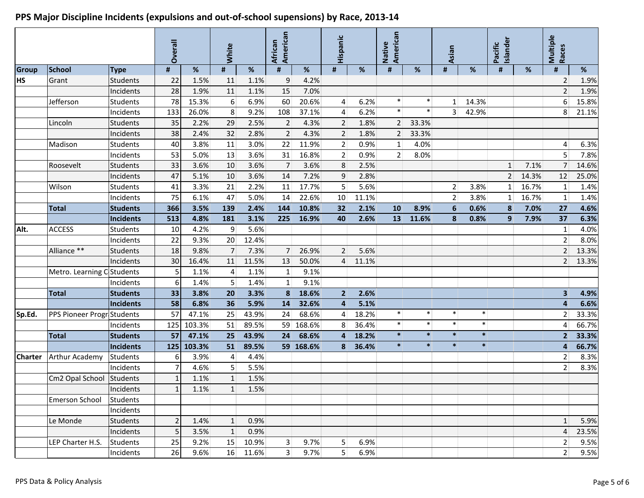#### **Overall White African American Hispanic Native American Asian Pacific Islander Multiple Races Group School Type # % # % # % # % # % # % # % # % HS** Grant Students 22 1.5% 11 1.1% 9 4.2% 2 2 1.9% 2 1.9% Incidents 28 1.9% 11 1.1% 15 7.0% 2 1.9% Jefferson Students 78 15.3% 6 6.9% 60 20.6% 4 6.2% \* \* 1 14.3% 6 15.8% Incidents 133 26.0% 8 9.2% 108 37.1% 4 6.2% \* \* 3 42.9% 8 21.1% Lincoln Students 35 2.2% 29 2.5% 2 4.3% 2 1.8% 2 33.3% Incidents 38 2.4% 32 2.8% 2 4.3% 2 1.8% 2 33.3% Madison Students | 40 3.8% 11 3.0% 22 11.9% 2 0.9% 1 4.0% | 4 6.3% Incidents 53 5.0% 13 3.6% 31 16.8% 2 0.9% 2 8.0% 5 7.8% Roosevelt Students 33 3.6% 10 3.6% 7 3.6% 8 2.5% 1 7.1% 7 14.6% Incidents 47 5.1% 10 3.6% 14 7.2% 9 2.8% 2 14.3% 12 25.0% Wilson Students 41 3.3% 21 2.2% 11 17.7% 5 5.6% 2 3.8% 1 16.7% 1 1.4% Incidents 75 6.1% 47 5.0% 14 22.6% 10 11.1% 2 3.8% 1 16.7% 1 1.4% **Total Students 366 3.5% 139 2.4% 144 10.8% 32 2.1% 10 8.9% 6 0.6% 8 7.0% 27 4.6% Incidents 513 4.8% 181 3.1% 225 16.9% 40 2.6% 13 11.6% 8 0.8% 9 7.9% 37 6.3% Alt.** |ACCESS |Students | 10 4.2% 9 5.6% | | | | | | | | | | | | | | 1 4.0% Incidents 22 9.3% 20 12.4% 2 8.0% Alliance \*\* Students 18 9.8% 7 7.3% 7 26.9% 2 5.6% 2 13.3% Incidents 30 16.4% 11 11.5% 13 50.0% 4 11.1% 2 13.3% Metro. Learning Center Students 5 1.1% 4 1.1% 1 9.1% Incidents 6 1.4% 5 1.4% 1 9.1% **Total Students 33 3.8% 20 3.3% 8 18.6% 2 2.6% 3 4.9% Incidents 58 6.8% 36 5.9% 14 32.6% 4 5.1% 4 6.6% Sp.Ed.** PPS Pioneer Progr|Students | 57 47.1% 25 43.9% 24 68.6% 4 18.2% \* \* \* \* \* \* \* 2 33.3% Incidents 125 103.3% 51 89.5% 59 168.6% 8 36.4% \* \* \* \* 4 66.7% **Total Students 57 47.1% 25 43.9% 24 68.6% 4 18.2% \* \* \* \* 2 33.3% Incidents 125 103.3% 51 89.5% 59 168.6% 8 36.4% \* \* \* \* 4 66.7% Charter** Arthur Academy Students 6 3.9% 4 4.4% 2 8.3% Incidents 7 4.6% 5 5.5% 2 8.3% Cm2 Opal School Students  $\begin{array}{|c|c|c|c|c|c|} \hline \text{Cm2 Opal School} & \text{Students} & 1 & 1.1\% & 1 & 1.5\% \hline \end{array}$  $Incidents$  1 1.1% 1 1.5% Emerson School Students Incidents Le Monde Students 2 1.4% 1 0.9% 1 5.9% Incidents  $\begin{array}{|c|c|c|c|c|c|}\hline \text{5} & \text{3.5\%} & \text{1} & \text{0.9\%} & \text{1} & \text{1} & \text{1} & \text{1} & \text{1} & \text{1} & \text{1} & \text{1} & \text{1} & \text{1} & \text{1} & \text{1} & \text{1} & \text{1} & \text{1} & \text{1} & \text{1} & \text{1} & \text{1} & \text{1} & \text{1} & \text{1} & \text{1} & \text{1} & \text{1} & \text{1} & \$ LEP Charter H.S. Students 25 9.2% 15 10.9% 3 9.7% 5 6.9% 2 9.5% Incidents 26 9.6% 16 11.6% 3 9.7% 5 6.9% 2 9.5%